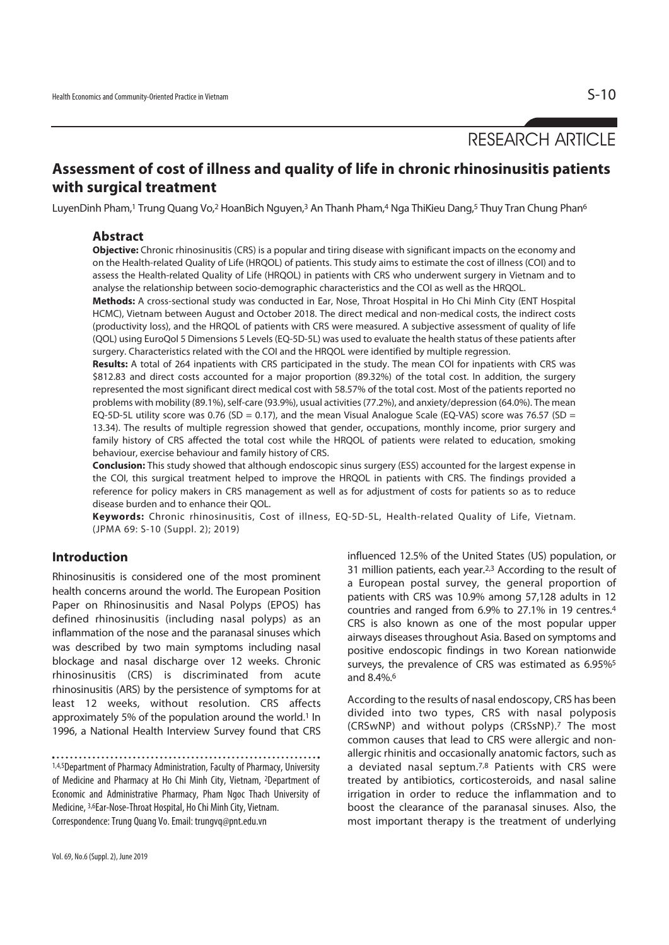# RESEARCH ARTICLE

## **Assessment of cost of illness and quality of life in chronic rhinosinusitis patients with surgical treatment**

LuyenDinh Pham,<sup>1</sup> Trung Quang Vo,<sup>2</sup> HoanBich Nguyen,<sup>3</sup> An Thanh Pham,<sup>4</sup> Nga ThiKieu Dang,<sup>5</sup> Thuy Tran Chung Phan<sup>6</sup>

#### **Abstract**

**Objective:** Chronic rhinosinusitis (CRS) is a popular and tiring disease with significant impacts on the economy and on the Health-related Quality of Life (HRQOL) of patients. This study aims to estimate the cost of illness (COI) and to assess the Health-related Quality of Life (HRQOL) in patients with CRS who underwent surgery in Vietnam and to analyse the relationship between socio-demographic characteristics and the COI as well as the HRQOL.

**Methods:** A cross-sectional study was conducted in Ear, Nose, Throat Hospital in Ho Chi Minh City (ENT Hospital HCMC), Vietnam between August and October 2018. The direct medical and non-medical costs, the indirect costs (productivity loss), and the HRQOL of patients with CRS were measured. A subjective assessment of quality of life (QOL) using EuroQol 5 Dimensions 5 Levels (EQ-5D-5L) was used to evaluate the health status of these patients after surgery. Characteristics related with the COI and the HRQOL were identified by multiple regression.

**Results:** A total of 264 inpatients with CRS participated in the study. The mean COI for inpatients with CRS was \$812.83 and direct costs accounted for a major proportion (89.32%) of the total cost. In addition, the surgery represented the most significant direct medical cost with 58.57% of the total cost. Most of the patients reported no problems with mobility (89.1%), self-care (93.9%), usual activities (77.2%), and anxiety/depression (64.0%). The mean EQ-5D-5L utility score was 0.76 (SD = 0.17), and the mean Visual Analogue Scale (EQ-VAS) score was 76.57 (SD = 13.34). The results of multiple regression showed that gender, occupations, monthly income, prior surgery and family history of CRS affected the total cost while the HRQOL of patients were related to education, smoking behaviour, exercise behaviour and family history of CRS.

**Conclusion:** This study showed that although endoscopic sinus surgery (ESS) accounted for the largest expense in the COI, this surgical treatment helped to improve the HRQOL in patients with CRS. The findings provided a reference for policy makers in CRS management as well as for adjustment of costs for patients so as to reduce disease burden and to enhance their QOL.

**Keywords:** Chronic rhinosinusitis, Cost of illness, EQ-5D-5L, Health-related Quality of Life, Vietnam. (JPMA 69: S-10 (Suppl. 2); 2019)

### **Introduction**

Rhinosinusitis is considered one of the most prominent health concerns around the world. The European Position Paper on Rhinosinusitis and Nasal Polyps (EPOS) has defined rhinosinusitis (including nasal polyps) as an inflammation of the nose and the paranasal sinuses which was described by two main symptoms including nasal blockage and nasal discharge over 12 weeks. Chronic rhinosinusitis (CRS) is discriminated from acute rhinosinusitis (ARS) by the persistence of symptoms for at least 12 weeks, without resolution. CRS affects approximately 5% of the population around the world.<sup>1</sup> In 1996, a National Health Interview Survey found that CRS influenced 12.5% of the United States (US) population, or 31 million patients, each year.2,3 According to the result of a European postal survey, the general proportion of patients with CRS was 10.9% among 57,128 adults in 12 countries and ranged from 6.9% to 27.1% in 19 centres.4 CRS is also known as one of the most popular upper airways diseases throughout Asia. Based on symptoms and positive endoscopic findings in two Korean nationwide surveys, the prevalence of CRS was estimated as 6.95%<sup>5</sup> and 8.4%.6

According to the results of nasal endoscopy, CRS has been divided into two types, CRS with nasal polyposis (CRSwNP) and without polyps (CRSsNP).7 The most common causes that lead to CRS were allergic and nonallergic rhinitis and occasionally anatomic factors, such as a deviated nasal septum.<sup>7,8</sup> Patients with CRS were treated by antibiotics, corticosteroids, and nasal saline irrigation in order to reduce the inflammation and to boost the clearance of the paranasal sinuses. Also, the most important therapy is the treatment of underlying

<sup>1,4,5</sup>Department of Pharmacy Administration, Faculty of Pharmacy, University of Medicine and Pharmacy at Ho Chi Minh City, Vietnam, 2Department of Economic and Administrative Pharmacy, Pham Ngoc Thach University of Medicine, 3,6Ear-Nose-Throat Hospital, Ho Chi Minh City, Vietnam. Correspondence: Trung Quang Vo. Email: trungvq@pnt.edu.vn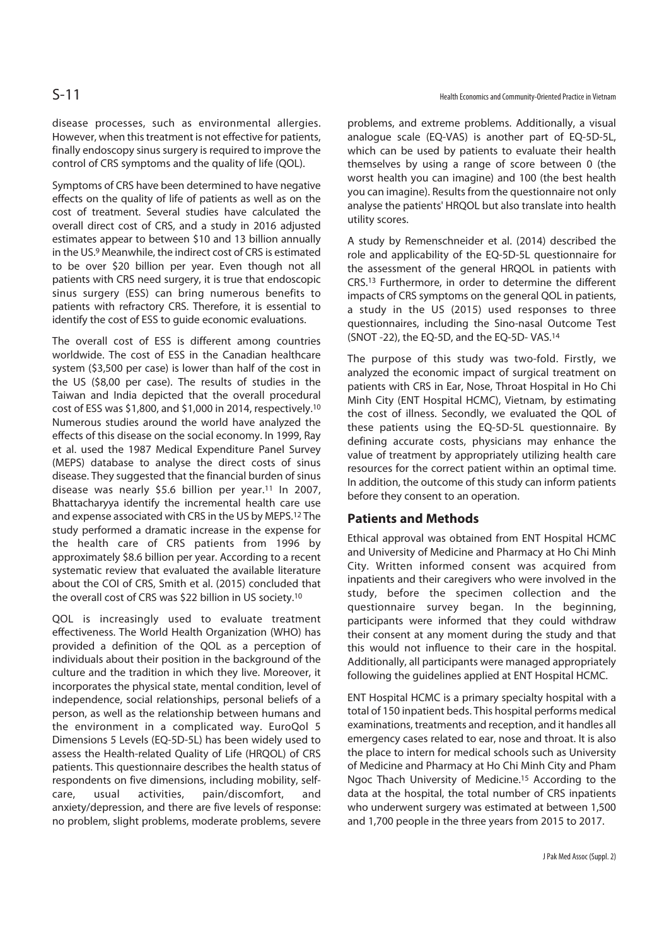disease processes, such as environmental allergies. However, when this treatment is not effective for patients, finally endoscopy sinus surgery is required to improve the control of CRS symptoms and the quality of life (QOL).

Symptoms of CRS have been determined to have negative effects on the quality of life of patients as well as on the cost of treatment. Several studies have calculated the overall direct cost of CRS, and a study in 2016 adjusted estimates appear to between \$10 and 13 billion annually in the US.9 Meanwhile, the indirect cost of CRS is estimated to be over \$20 billion per year. Even though not all patients with CRS need surgery, it is true that endoscopic sinus surgery (ESS) can bring numerous benefits to patients with refractory CRS. Therefore, it is essential to identify the cost of ESS to guide economic evaluations.

The overall cost of ESS is different among countries worldwide. The cost of ESS in the Canadian healthcare system (\$3,500 per case) is lower than half of the cost in the US (\$8,00 per case). The results of studies in the Taiwan and India depicted that the overall procedural cost of ESS was \$1,800, and \$1,000 in 2014, respectively.10 Numerous studies around the world have analyzed the effects of this disease on the social economy. In 1999, Ray et al. used the 1987 Medical Expenditure Panel Survey (MEPS) database to analyse the direct costs of sinus disease. They suggested that the financial burden of sinus disease was nearly \$5.6 billion per year.11 In 2007, Bhattacharyya identify the incremental health care use and expense associated with CRS in the US by MEPS.12 The study performed a dramatic increase in the expense for the health care of CRS patients from 1996 by approximately \$8.6 billion per year. According to a recent systematic review that evaluated the available literature about the COI of CRS, Smith et al. (2015) concluded that the overall cost of CRS was \$22 billion in US society.10

QOL is increasingly used to evaluate treatment effectiveness. The World Health Organization (WHO) has provided a definition of the QOL as a perception of individuals about their position in the background of the culture and the tradition in which they live. Moreover, it incorporates the physical state, mental condition, level of independence, social relationships, personal beliefs of a person, as well as the relationship between humans and the environment in a complicated way. EuroQol 5 Dimensions 5 Levels (EQ-5D-5L) has been widely used to assess the Health-related Quality of Life (HRQOL) of CRS patients. This questionnaire describes the health status of respondents on five dimensions, including mobility, selfcare, usual activities, pain/discomfort, and anxiety/depression, and there are five levels of response: no problem, slight problems, moderate problems, severe

problems, and extreme problems. Additionally, a visual analogue scale (EQ-VAS) is another part of EQ-5D-5L, which can be used by patients to evaluate their health themselves by using a range of score between 0 (the worst health you can imagine) and 100 (the best health you can imagine). Results from the questionnaire not only analyse the patients' HRQOL but also translate into health utility scores.

A study by Remenschneider et al. (2014) described the role and applicability of the EQ-5D-5L questionnaire for the assessment of the general HRQOL in patients with CRS.13 Furthermore, in order to determine the different impacts of CRS symptoms on the general QOL in patients, a study in the US (2015) used responses to three questionnaires, including the Sino-nasal Outcome Test (SNOT -22), the EQ-5D, and the EQ-5D- VAS.14

The purpose of this study was two-fold. Firstly, we analyzed the economic impact of surgical treatment on patients with CRS in Ear, Nose, Throat Hospital in Ho Chi Minh City (ENT Hospital HCMC), Vietnam, by estimating the cost of illness. Secondly, we evaluated the QOL of these patients using the EQ-5D-5L questionnaire. By defining accurate costs, physicians may enhance the value of treatment by appropriately utilizing health care resources for the correct patient within an optimal time. In addition, the outcome of this study can inform patients before they consent to an operation.

#### **Patients and Methods**

Ethical approval was obtained from ENT Hospital HCMC and University of Medicine and Pharmacy at Ho Chi Minh City. Written informed consent was acquired from inpatients and their caregivers who were involved in the study, before the specimen collection and the questionnaire survey began. In the beginning, participants were informed that they could withdraw their consent at any moment during the study and that this would not influence to their care in the hospital. Additionally, all participants were managed appropriately following the guidelines applied at ENT Hospital HCMC.

ENT Hospital HCMC is a primary specialty hospital with a total of 150 inpatient beds. This hospital performs medical examinations, treatments and reception, and it handles all emergency cases related to ear, nose and throat. It is also the place to intern for medical schools such as University of Medicine and Pharmacy at Ho Chi Minh City and Pham Ngoc Thach University of Medicine.15 According to the data at the hospital, the total number of CRS inpatients who underwent surgery was estimated at between 1,500 and 1,700 people in the three years from 2015 to 2017.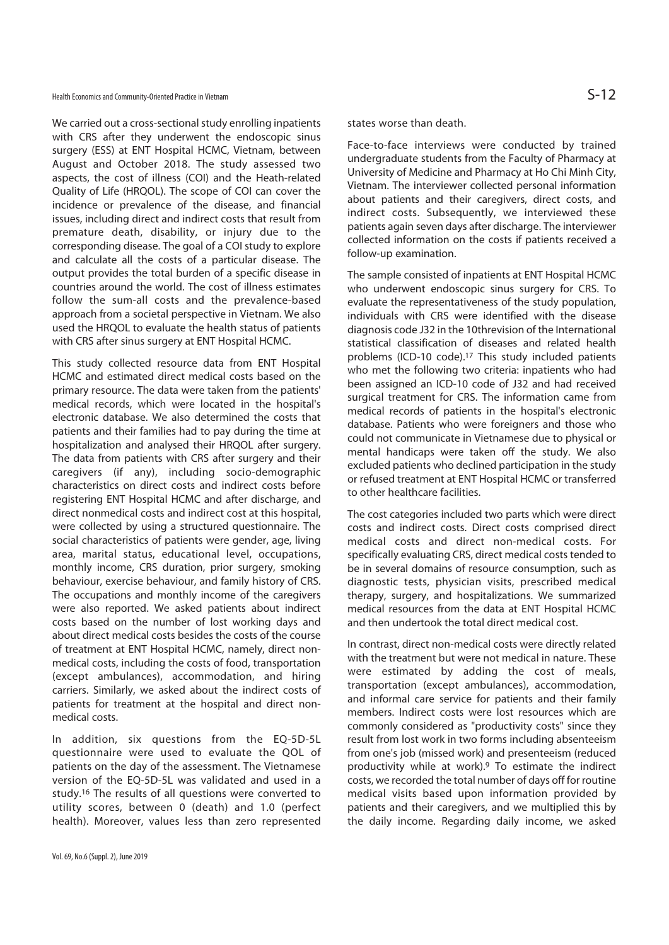We carried out a cross-sectional study enrolling inpatients with CRS after they underwent the endoscopic sinus surgery (ESS) at ENT Hospital HCMC, Vietnam, between August and October 2018. The study assessed two aspects, the cost of illness (COI) and the Heath-related Quality of Life (HRQOL). The scope of COI can cover the incidence or prevalence of the disease, and financial issues, including direct and indirect costs that result from premature death, disability, or injury due to the corresponding disease. The goal of a COI study to explore and calculate all the costs of a particular disease. The output provides the total burden of a specific disease in countries around the world. The cost of illness estimates follow the sum-all costs and the prevalence-based approach from a societal perspective in Vietnam. We also used the HRQOL to evaluate the health status of patients with CRS after sinus surgery at ENT Hospital HCMC.

This study collected resource data from ENT Hospital HCMC and estimated direct medical costs based on the primary resource. The data were taken from the patients' medical records, which were located in the hospital's electronic database. We also determined the costs that patients and their families had to pay during the time at hospitalization and analysed their HRQOL after surgery. The data from patients with CRS after surgery and their caregivers (if any), including socio-demographic characteristics on direct costs and indirect costs before registering ENT Hospital HCMC and after discharge, and direct nonmedical costs and indirect cost at this hospital, were collected by using a structured questionnaire. The social characteristics of patients were gender, age, living area, marital status, educational level, occupations, monthly income, CRS duration, prior surgery, smoking behaviour, exercise behaviour, and family history of CRS. The occupations and monthly income of the caregivers were also reported. We asked patients about indirect costs based on the number of lost working days and about direct medical costs besides the costs of the course of treatment at ENT Hospital HCMC, namely, direct nonmedical costs, including the costs of food, transportation (except ambulances), accommodation, and hiring carriers. Similarly, we asked about the indirect costs of patients for treatment at the hospital and direct nonmedical costs.

In addition, six questions from the EQ-5D-5L questionnaire were used to evaluate the QOL of patients on the day of the assessment. The Vietnamese version of the EQ-5D-5L was validated and used in a study.16 The results of all questions were converted to utility scores, between 0 (death) and 1.0 (perfect health). Moreover, values less than zero represented

states worse than death.

Face-to-face interviews were conducted by trained undergraduate students from the Faculty of Pharmacy at University of Medicine and Pharmacy at Ho Chi Minh City, Vietnam. The interviewer collected personal information about patients and their caregivers, direct costs, and indirect costs. Subsequently, we interviewed these patients again seven days after discharge. The interviewer collected information on the costs if patients received a follow-up examination.

The sample consisted of inpatients at ENT Hospital HCMC who underwent endoscopic sinus surgery for CRS. To evaluate the representativeness of the study population, individuals with CRS were identified with the disease diagnosis code J32 in the 10threvision of the International statistical classification of diseases and related health problems (ICD-10 code).17 This study included patients who met the following two criteria: inpatients who had been assigned an ICD-10 code of J32 and had received surgical treatment for CRS. The information came from medical records of patients in the hospital's electronic database. Patients who were foreigners and those who could not communicate in Vietnamese due to physical or mental handicaps were taken off the study. We also excluded patients who declined participation in the study or refused treatment at ENT Hospital HCMC or transferred to other healthcare facilities.

The cost categories included two parts which were direct costs and indirect costs. Direct costs comprised direct medical costs and direct non-medical costs. For specifically evaluating CRS, direct medical costs tended to be in several domains of resource consumption, such as diagnostic tests, physician visits, prescribed medical therapy, surgery, and hospitalizations. We summarized medical resources from the data at ENT Hospital HCMC and then undertook the total direct medical cost.

In contrast, direct non-medical costs were directly related with the treatment but were not medical in nature. These were estimated by adding the cost of meals, transportation (except ambulances), accommodation, and informal care service for patients and their family members. Indirect costs were lost resources which are commonly considered as "productivity costs" since they result from lost work in two forms including absenteeism from one's job (missed work) and presenteeism (reduced productivity while at work).9 To estimate the indirect costs, we recorded the total number of days off for routine medical visits based upon information provided by patients and their caregivers, and we multiplied this by the daily income. Regarding daily income, we asked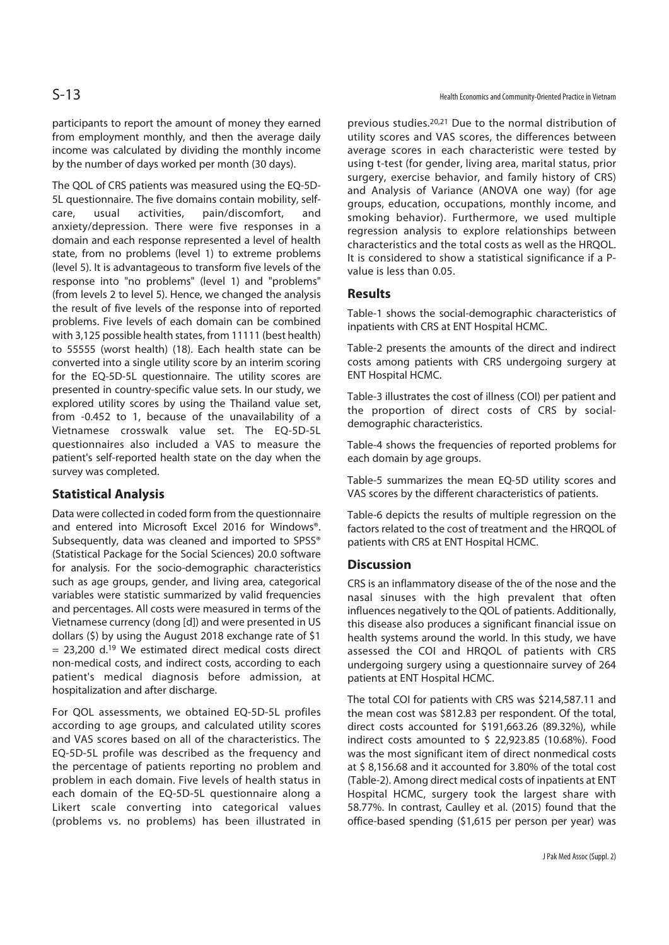participants to report the amount of money they earned from employment monthly, and then the average daily income was calculated by dividing the monthly income by the number of days worked per month (30 days).

The QOL of CRS patients was measured using the EQ-5D-5L questionnaire. The five domains contain mobility, selfcare, usual activities, pain/discomfort, and anxiety/depression. There were five responses in a domain and each response represented a level of health state, from no problems (level 1) to extreme problems (level 5). It is advantageous to transform five levels of the response into "no problems" (level 1) and "problems" (from levels 2 to level 5). Hence, we changed the analysis the result of five levels of the response into of reported problems. Five levels of each domain can be combined with 3,125 possible health states, from 11111 (best health) to 55555 (worst health) (18). Each health state can be converted into a single utility score by an interim scoring for the EQ-5D-5L questionnaire. The utility scores are presented in country-specific value sets. In our study, we explored utility scores by using the Thailand value set, from -0.452 to 1, because of the unavailability of a Vietnamese crosswalk value set. The EQ-5D-5L questionnaires also included a VAS to measure the patient's self-reported health state on the day when the survey was completed.

### **Statistical Analysis**

Data were collected in coded form from the questionnaire and entered into Microsoft Excel 2016 for Windows®. Subsequently, data was cleaned and imported to SPSS® (Statistical Package for the Social Sciences) 20.0 software for analysis. For the socio-demographic characteristics such as age groups, gender, and living area, categorical variables were statistic summarized by valid frequencies and percentages. All costs were measured in terms of the Vietnamese currency (dong [d]) and were presented in US dollars (\$) by using the August 2018 exchange rate of \$1  $= 23.200$  d.<sup>19</sup> We estimated direct medical costs direct non-medical costs, and indirect costs, according to each patient's medical diagnosis before admission, at hospitalization and after discharge.

For QOL assessments, we obtained EQ-5D-5L profiles according to age groups, and calculated utility scores and VAS scores based on all of the characteristics. The EQ-5D-5L profile was described as the frequency and the percentage of patients reporting no problem and problem in each domain. Five levels of health status in each domain of the EQ-5D-5L questionnaire along a Likert scale converting into categorical values (problems vs. no problems) has been illustrated in

previous studies.20,21 Due to the normal distribution of utility scores and VAS scores, the differences between average scores in each characteristic were tested by using t-test (for gender, living area, marital status, prior surgery, exercise behavior, and family history of CRS) and Analysis of Variance (ANOVA one way) (for age groups, education, occupations, monthly income, and smoking behavior). Furthermore, we used multiple regression analysis to explore relationships between characteristics and the total costs as well as the HRQOL. It is considered to show a statistical significance if a Pvalue is less than 0.05.

### **Results**

Table-1 shows the social-demographic characteristics of inpatients with CRS at ENT Hospital HCMC.

Table-2 presents the amounts of the direct and indirect costs among patients with CRS undergoing surgery at ENT Hospital HCMC.

Table-3 illustrates the cost of illness (COI) per patient and the proportion of direct costs of CRS by socialdemographic characteristics.

Table-4 shows the frequencies of reported problems for each domain by age groups.

Table-5 summarizes the mean EQ-5D utility scores and VAS scores by the different characteristics of patients.

Table-6 depicts the results of multiple regression on the factors related to the cost of treatment and the HRQOL of patients with CRS at ENT Hospital HCMC.

### **Discussion**

CRS is an inflammatory disease of the of the nose and the nasal sinuses with the high prevalent that often influences negatively to the QOL of patients. Additionally, this disease also produces a significant financial issue on health systems around the world. In this study, we have assessed the COI and HRQOL of patients with CRS undergoing surgery using a questionnaire survey of 264 patients at ENT Hospital HCMC.

The total COI for patients with CRS was \$214,587.11 and the mean cost was \$812.83 per respondent. Of the total, direct costs accounted for \$191,663.26 (89.32%), while indirect costs amounted to \$ 22,923.85 (10.68%). Food was the most significant item of direct nonmedical costs at \$ 8,156.68 and it accounted for 3.80% of the total cost (Table-2). Among direct medical costs of inpatients at ENT Hospital HCMC, surgery took the largest share with 58.77%. In contrast, Caulley et al. (2015) found that the office-based spending (\$1,615 per person per year) was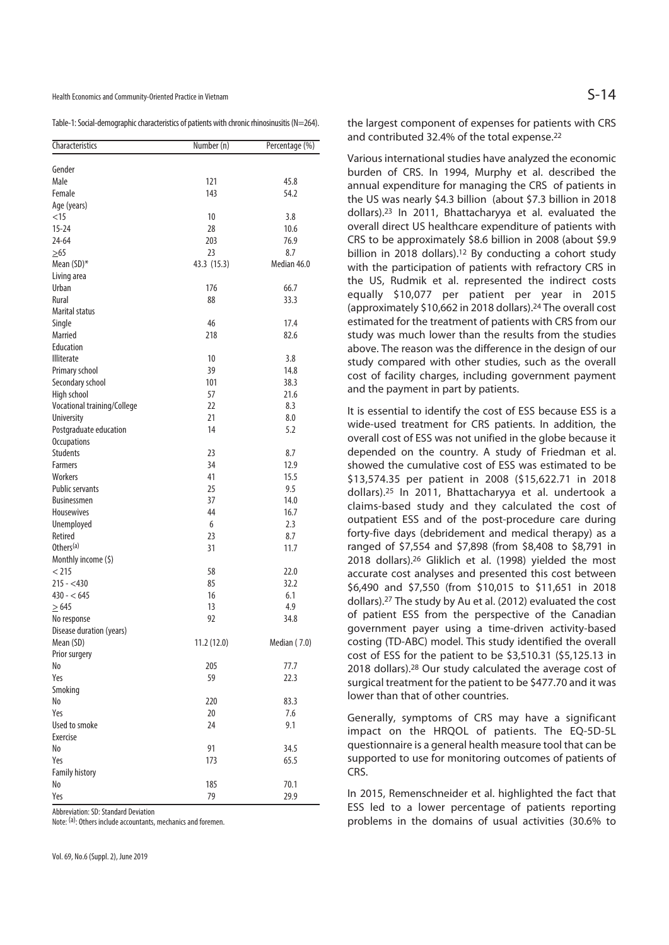Health Economics and Community-Oriented Practice in Vietnam  $S-14$ 

Table-1: Social-demographic characteristics of patients with chronic rhinosinusitis (N=264).

| Characteristics             | Number (n)  | Percentage (%) |
|-----------------------------|-------------|----------------|
| Gender                      |             |                |
| Male                        | 121         | 45.8           |
| Female                      | 143         | 54.2           |
| Age (years)                 |             |                |
| $<$ 15                      | 10          | 3.8            |
| $15 - 24$                   | 28          | 10.6           |
| $24 - 64$                   | 203         | 76.9           |
| $\geq 65$                   | 23          | 8.7            |
| Mean (SD)*                  | 43.3 (15.3) | Median 46.0    |
| Living area                 |             |                |
| Urban                       | 176         | 66.7           |
| Rural                       | 88          | 33.3           |
| <b>Marital status</b>       |             |                |
| Single                      | 46          | 17.4           |
| Married                     | 218         | 82.6           |
| Education                   |             |                |
| <b>Illiterate</b>           | 10          | 3.8            |
| Primary school              | 39          | 14.8           |
| Secondary school            | 101         | 38.3           |
| High school                 | 57          | 21.6           |
| Vocational training/College | 22          | 8.3            |
| <b>University</b>           | 21          | 8.0            |
| Postgraduate education      | 14          | 5.2            |
| <b>Occupations</b>          |             |                |
| <b>Students</b>             | 23          | 8.7            |
| <b>Farmers</b>              | 34          | 12.9           |
| Workers                     | 41          | 15.5           |
| <b>Public servants</b>      | 25          | 9.5            |
| <b>Businessmen</b>          | 37          | 14.0           |
| <b>Housewives</b>           | 44          | 16.7           |
| Unemployed                  | 6           | 2.3            |
| Retired                     | 23          | 8.7            |
| Others <sup>(a)</sup>       | 31          | 11.7           |
| Monthly income (\$)         |             |                |
| < 215                       | 58          | 22.0           |
| $215 - 430$                 | 85          | 32.2           |
| $430 - 645$                 | 16          | 6.1            |
| $\geq 645$                  | 13          | 4.9            |
| No response                 | 92          | 34.8           |
| Disease duration (years)    |             |                |
| Mean (SD)                   | 11.2 (12.0) | Median (7.0)   |
| Prior surgery               |             |                |
| No                          | 205         | 77.7           |
| Yes                         | 59          | 22.3           |
| Smoking                     |             |                |
| No                          | 220         | 83.3           |
| Yes                         | 20          | 7.6            |
| Used to smoke               | 24          | 9.1            |
| Exercise                    |             |                |
| No                          | 91          | 34.5           |
| Yes                         | 173         | 65.5           |
| <b>Family history</b><br>No | 185         |                |
|                             |             | 70.1           |
| Yes                         | 79          | 29.9           |

Abbreviation: SD: Standard Deviation

Note: (a): Others include accountants, mechanics and foremen.

the largest component of expenses for patients with CRS and contributed 32.4% of the total expense.22

Various international studies have analyzed the economic burden of CRS. In 1994, Murphy et al. described the annual expenditure for managing the CRS of patients in the US was nearly \$4.3 billion (about \$7.3 billion in 2018 dollars).23 In 2011, Bhattacharyya et al. evaluated the overall direct US healthcare expenditure of patients with CRS to be approximately \$8.6 billion in 2008 (about \$9.9 billion in 2018 dollars).<sup>12</sup> By conducting a cohort study with the participation of patients with refractory CRS in the US, Rudmik et al. represented the indirect costs equally \$10,077 per patient per year in 2015 (approximately \$10,662 in 2018 dollars).24 The overall cost estimated for the treatment of patients with CRS from our study was much lower than the results from the studies above. The reason was the difference in the design of our study compared with other studies, such as the overall cost of facility charges, including government payment and the payment in part by patients.

It is essential to identify the cost of ESS because ESS is a wide-used treatment for CRS patients. In addition, the overall cost of ESS was not unified in the globe because it depended on the country. A study of Friedman et al. showed the cumulative cost of ESS was estimated to be \$13,574.35 per patient in 2008 (\$15,622.71 in 2018 dollars).25 In 2011, Bhattacharyya et al. undertook a claims-based study and they calculated the cost of outpatient ESS and of the post-procedure care during forty-five days (debridement and medical therapy) as a ranged of \$7,554 and \$7,898 (from \$8,408 to \$8,791 in 2018 dollars).26 Gliklich et al. (1998) yielded the most accurate cost analyses and presented this cost between \$6,490 and \$7,550 (from \$10,015 to \$11,651 in 2018 dollars).27 The study by Au et al. (2012) evaluated the cost of patient ESS from the perspective of the Canadian government payer using a time-driven activity-based costing (TD-ABC) model. This study identified the overall cost of ESS for the patient to be \$3,510.31 (\$5,125.13 in 2018 dollars).28 Our study calculated the average cost of surgical treatment for the patient to be \$477.70 and it was lower than that of other countries.

Generally, symptoms of CRS may have a significant impact on the HRQOL of patients. The EQ-5D-5L questionnaire is a general health measure tool that can be supported to use for monitoring outcomes of patients of CRS.

In 2015, Remenschneider et al. highlighted the fact that ESS led to a lower percentage of patients reporting problems in the domains of usual activities (30.6% to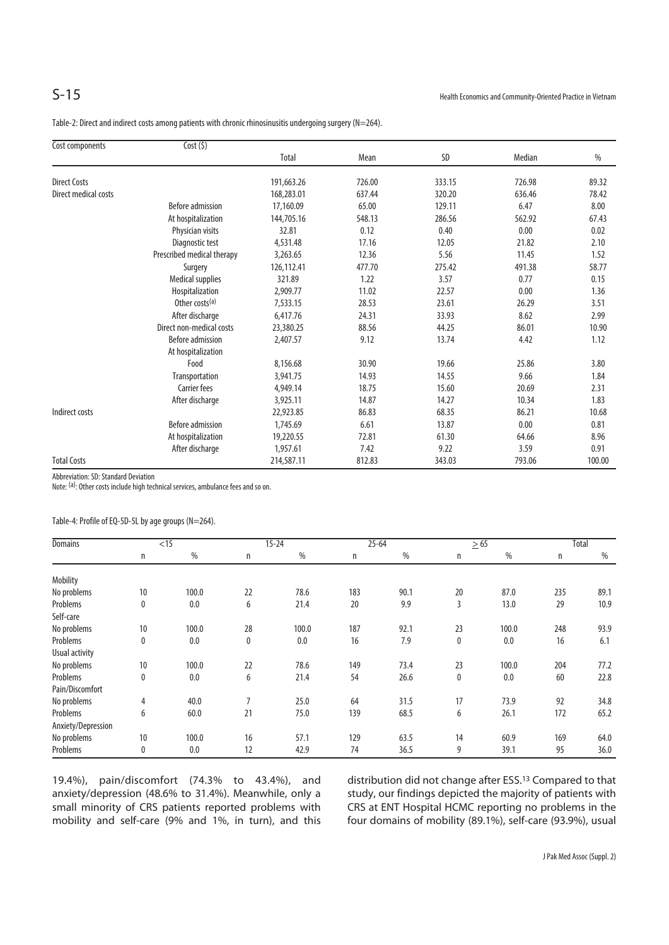Table-2: Direct and indirect costs among patients with chronic rhinosinusitis undergoing surgery (N=264).

| Cost components      | Cost(5)                    |              |        |        |        |        |
|----------------------|----------------------------|--------------|--------|--------|--------|--------|
|                      |                            | <b>Total</b> | Mean   | SD     | Median | %      |
| <b>Direct Costs</b>  |                            | 191,663.26   | 726.00 | 333.15 | 726.98 | 89.32  |
| Direct medical costs |                            | 168,283.01   | 637.44 | 320.20 | 636.46 | 78.42  |
|                      | Before admission           | 17,160.09    | 65.00  | 129.11 | 6.47   | 8.00   |
|                      | At hospitalization         | 144,705.16   | 548.13 | 286.56 | 562.92 | 67.43  |
|                      | Physician visits           | 32.81        | 0.12   | 0.40   | 0.00   | 0.02   |
|                      | Diagnostic test            | 4,531.48     | 17.16  | 12.05  | 21.82  | 2.10   |
|                      | Prescribed medical therapy | 3,263.65     | 12.36  | 5.56   | 11.45  | 1.52   |
|                      | Surgery                    | 126,112.41   | 477.70 | 275.42 | 491.38 | 58.77  |
|                      | <b>Medical supplies</b>    | 321.89       | 1.22   | 3.57   | 0.77   | 0.15   |
|                      | Hospitalization            | 2,909.77     | 11.02  | 22.57  | 0.00   | 1.36   |
|                      | Other costs <sup>(a)</sup> | 7,533.15     | 28.53  | 23.61  | 26.29  | 3.51   |
|                      | After discharge            | 6,417.76     | 24.31  | 33.93  | 8.62   | 2.99   |
|                      | Direct non-medical costs   | 23,380.25    | 88.56  | 44.25  | 86.01  | 10.90  |
|                      | <b>Before admission</b>    | 2,407.57     | 9.12   | 13.74  | 4.42   | 1.12   |
|                      | At hospitalization         |              |        |        |        |        |
|                      | Food                       | 8,156.68     | 30.90  | 19.66  | 25.86  | 3.80   |
|                      | Transportation             | 3,941.75     | 14.93  | 14.55  | 9.66   | 1.84   |
|                      | <b>Carrier fees</b>        | 4,949.14     | 18.75  | 15.60  | 20.69  | 2.31   |
|                      | After discharge            | 3,925.11     | 14.87  | 14.27  | 10.34  | 1.83   |
| Indirect costs       |                            | 22,923.85    | 86.83  | 68.35  | 86.21  | 10.68  |
|                      | Before admission           | 1,745.69     | 6.61   | 13.87  | 0.00   | 0.81   |
|                      | At hospitalization         | 19,220.55    | 72.81  | 61.30  | 64.66  | 8.96   |
|                      | After discharge            | 1,957.61     | 7.42   | 9.22   | 3.59   | 0.91   |
| <b>Total Costs</b>   |                            | 214,587.11   | 812.83 | 343.03 | 793.06 | 100.00 |

Abbreviation: SD: Standard Deviation

Note: <sup>(a)</sup>: Other costs include high technical services, ambulance fees and so on.

Table-4: Profile of EQ-5D-5L by age groups (N=264).

| <b>Domains</b>     |              | $<$ 15 |    | $15 - 24$ | $25 - 64$ |      | $\geq 65$ |       | Total |      |
|--------------------|--------------|--------|----|-----------|-----------|------|-----------|-------|-------|------|
|                    | n            | %      | n  | %         | n         | $\%$ | n         | %     | n     | %    |
| Mobility           |              |        |    |           |           |      |           |       |       |      |
| No problems        | 10           | 100.0  | 22 | 78.6      | 183       | 90.1 | 20        | 87.0  | 235   | 89.1 |
| Problems           | $\mathbf{0}$ | 0.0    | 6  | 21.4      | 20        | 9.9  | 3         | 13.0  | 29    | 10.9 |
| Self-care          |              |        |    |           |           |      |           |       |       |      |
| No problems        | 10           | 100.0  | 28 | 100.0     | 187       | 92.1 | 23        | 100.0 | 248   | 93.9 |
| Problems           | $\mathbf{0}$ | 0.0    | 0  | 0.0       | 16        | 7.9  | 0         | 0.0   | 16    | 6.1  |
| Usual activity     |              |        |    |           |           |      |           |       |       |      |
| No problems        | 10           | 100.0  | 22 | 78.6      | 149       | 73.4 | 23        | 100.0 | 204   | 77.2 |
| Problems           | 0            | 0.0    | 6  | 21.4      | 54        | 26.6 | 0         | 0.0   | 60    | 22.8 |
| Pain/Discomfort    |              |        |    |           |           |      |           |       |       |      |
| No problems        | 4            | 40.0   | 7  | 25.0      | 64        | 31.5 | 17        | 73.9  | 92    | 34.8 |
| Problems           | 6            | 60.0   | 21 | 75.0      | 139       | 68.5 | 6         | 26.1  | 172   | 65.2 |
| Anxiety/Depression |              |        |    |           |           |      |           |       |       |      |
| No problems        | 10           | 100.0  | 16 | 57.1      | 129       | 63.5 | 14        | 60.9  | 169   | 64.0 |
| Problems           | $\mathbf{0}$ | 0.0    | 12 | 42.9      | 74        | 36.5 | 9         | 39.1  | 95    | 36.0 |

19.4%), pain/discomfort (74.3% to 43.4%), and anxiety/depression (48.6% to 31.4%). Meanwhile, only a small minority of CRS patients reported problems with mobility and self-care (9% and 1%, in turn), and this distribution did not change after ESS.13 Compared to that study, our findings depicted the majority of patients with CRS at ENT Hospital HCMC reporting no problems in the four domains of mobility (89.1%), self-care (93.9%), usual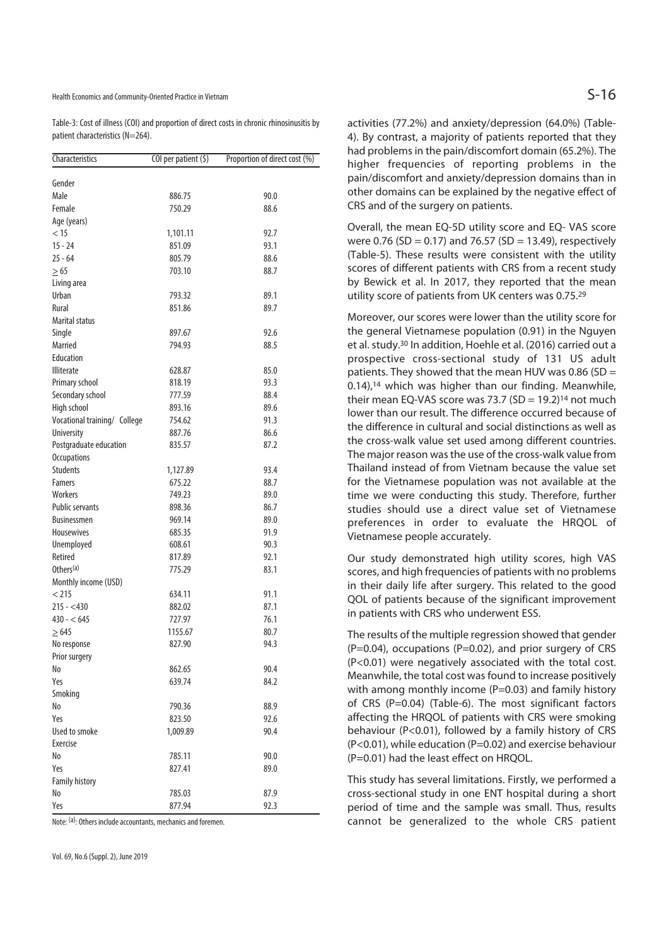Table-3: Cost of illness (COI) and proportion of direct costs in chronic rhinosinusitis by patient characteristics (N=264).

| Characteristics              | $COI$ per patient $(5)$ | Proportion of direct cost (%) |
|------------------------------|-------------------------|-------------------------------|
| Gender                       |                         |                               |
| Male                         | 886.75                  | 90.0                          |
| Female                       | 750.29                  | 88.6                          |
| Age (years)                  |                         |                               |
| < 15                         | 1,101.11                | 92.7                          |
| $15 - 24$                    | 851.09                  | 93.1                          |
| $25 - 64$                    | 805.79                  | 88.6                          |
|                              | 703.10                  | 88.7                          |
| $\geq 65$                    |                         |                               |
| Living area<br>Urban         |                         | 89.1                          |
| Rural                        | 793.32<br>851.86        | 89.7                          |
| <b>Marital status</b>        |                         |                               |
|                              |                         |                               |
| Single                       | 897.67                  | 92.6                          |
| Married                      | 794.93                  | 88.5                          |
| Education                    |                         |                               |
| <b>Illiterate</b>            | 628.87                  | 85.0                          |
| Primary school               | 818.19                  | 93.3                          |
| Secondary school             | 777.59                  | 88.4                          |
| High school                  | 893.16                  | 89.6                          |
| Vocational training/ College | 754.62                  | 91.3                          |
| University                   | 887.76                  | 86.6                          |
| Postgraduate education       | 835.57                  | 87.2                          |
| <b>Occupations</b>           |                         |                               |
| <b>Students</b>              | 1,127.89                | 93.4                          |
| <b>Famers</b>                | 675.22                  | 88.7                          |
| Workers                      | 749.23                  | 89.0                          |
| <b>Public servants</b>       | 898.36                  | 86.7                          |
| <b>Businessmen</b>           | 969.14                  | 89.0                          |
| Housewives                   | 685.35                  | 91.9                          |
| Unemployed                   | 608.61                  | 90.3                          |
| Retired                      | 817.89                  | 92.1                          |
| Others <sup>(a)</sup>        | 775.29                  | 83.1                          |
| Monthly income (USD)         |                         |                               |
| < 215                        | 634.11                  | 91.1                          |
| $215 - 430$                  | 882.02                  | 87.1                          |
| $430 - 645$                  | 727.97                  | 76.1                          |
| $\geq 645$                   | 1155.67                 | 80.7                          |
| No response                  | 827.90                  | 94.3                          |
| Prior surgery                |                         |                               |
| No                           | 862.65                  | 90.4                          |
| Yes                          | 639.74                  | 84.2                          |
| Smoking                      |                         |                               |
| No                           | 790.36                  | 88.9                          |
| Yes                          | 823.50                  | 92.6                          |
| Used to smoke                | 1,009.89                | 90.4                          |
| Exercise                     |                         |                               |
| No                           | 785.11                  | 90.0                          |
| Yeς                          | 827.41                  | 89.0                          |
| <b>Family history</b>        |                         |                               |
| No                           | 785.03                  | 87.9                          |
| Yes                          | 877.94                  | 92.3                          |

Note: (a): Others include accountants, mechanics and foremen.

activities (77.2%) and anxiety/depression (64.0%) (Table-4). By contrast, a majority of patients reported that they had problems in the pain/discomfort domain (65.2%). The higher frequencies of reporting problems in the pain/discomfort and anxiety/depression domains than in other domains can be explained by the negative effect of CRS and of the surgery on patients.

Overall, the mean EQ-5D utility score and EQ- VAS score were  $0.76$  (SD = 0.17) and 76.57 (SD = 13.49), respectively (Table-5). These results were consistent with the utility scores of different patients with CRS from a recent study by Bewick et al. In 2017, they reported that the mean utility score of patients from UK centers was 0.75.29

Moreover, our scores were lower than the utility score for the general Vietnamese population (0.91) in the Nguyen et al. study.30 In addition, Hoehle et al. (2016) carried out a prospective cross-sectional study of 131 US adult patients. They showed that the mean HUV was 0.86 (SD = 0.14),<sup>14</sup> which was higher than our finding. Meanwhile, their mean EO-VAS score was 73.7  $(SD = 19.2)^{14}$  not much lower than our result. The difference occurred because of the difference in cultural and social distinctions as well as the cross-walk value set used among different countries. The major reason was the use of the cross-walk value from Thailand instead of from Vietnam because the value set for the Vietnamese population was not available at the time we were conducting this study. Therefore, further studies should use a direct value set of Vietnamese preferences in order to evaluate the HRQOL of Vietnamese people accurately.

Our study demonstrated high utility scores, high VAS scores, and high frequencies of patients with no problems in their daily life after surgery. This related to the good QOL of patients because of the significant improvement in patients with CRS who underwent ESS.

The results of the multiple regression showed that gender  $(P=0.04)$ , occupations  $(P=0.02)$ , and prior surgery of CRS (P<0.01) were negatively associated with the total cost. Meanwhile, the total cost was found to increase positively with among monthly income  $(P=0.03)$  and family history of CRS (P=0.04) (Table-6). The most significant factors affecting the HRQOL of patients with CRS were smoking behaviour (P<0.01), followed by a family history of CRS (P<0.01), while education (P=0.02) and exercise behaviour (P=0.01) had the least effect on HRQOL.

This study has several limitations. Firstly, we performed a cross-sectional study in one ENT hospital during a short period of time and the sample was small. Thus, results cannot be generalized to the whole CRS patient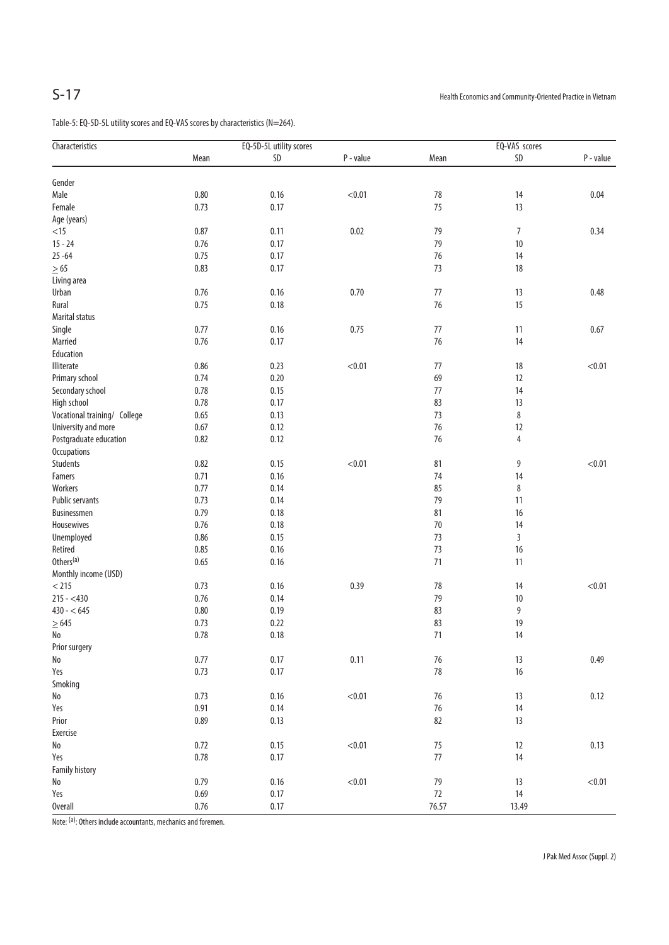Table-5: EQ-5D-5L utility scores and EQ-VAS scores by characteristics (N=264).

| Characteristics              | EQ-5D-5L utility scores |          |           | EQ-VAS scores |               |           |
|------------------------------|-------------------------|----------|-----------|---------------|---------------|-----------|
|                              | Mean                    | $SD$     | P - value | Mean          | $\mathsf{SD}$ | P - value |
| Gender                       |                         |          |           |               |               |           |
| Male                         | $0.80\,$                | 0.16     | < 0.01    | $78\,$        | 14            | 0.04      |
| Female                       | 0.73                    | 0.17     |           | 75            | 13            |           |
| Age (years)                  |                         |          |           |               |               |           |
| $<15$                        | 0.87                    | 0.11     | 0.02      | 79            | 7             | 0.34      |
| $15 - 24$                    | 0.76                    | 0.17     |           | 79            | 10            |           |
| $25 - 64$                    | 0.75                    | 0.17     |           | 76            | 14            |           |
|                              | 0.83                    | 0.17     |           | 73            | 18            |           |
| $\geq 65$                    |                         |          |           |               |               |           |
| Living area                  |                         |          |           |               |               |           |
| Urban                        | 0.76                    | 0.16     | 0.70      | 77            | 13            | 0.48      |
| Rural                        | 0.75                    | 0.18     |           | 76            | 15            |           |
| Marital status               |                         |          |           |               |               |           |
| Single                       | 0.77                    | 0.16     | 0.75      | $77\,$        | 11            | 0.67      |
| Married                      | 0.76                    | 0.17     |           | 76            | 14            |           |
| Education                    |                         |          |           |               |               |           |
| Illiterate                   | 0.86                    | 0.23     | < 0.01    | 77            | 18            | < 0.01    |
| Primary school               | 0.74                    | 0.20     |           | 69            | 12            |           |
| Secondary school             | 0.78                    | 0.15     |           | $77$          | 14            |           |
| High school                  | 0.78                    | 0.17     |           | 83            | 13            |           |
| Vocational training/ College | 0.65                    | 0.13     |           | 73            | 8             |           |
| University and more          | 0.67                    | 0.12     |           | 76            | 12            |           |
| Postgraduate education       | 0.82                    | 0.12     |           | 76            | 4             |           |
| Occupations                  |                         |          |           |               |               |           |
| Students                     | 0.82                    | 0.15     | < 0.01    | 81            | 9             | < 0.01    |
| Famers                       | 0.71                    | 0.16     |           | 74            | 14            |           |
| Workers                      | 0.77                    | 0.14     |           | 85            | 8             |           |
| Public servants              | 0.73                    | 0.14     |           | 79            | 11            |           |
| Businessmen                  | 0.79                    | 0.18     |           | 81            | 16            |           |
| Housewives                   | 0.76                    | 0.18     |           | $70\,$        | 14            |           |
| Unemployed                   | 0.86                    | 0.15     |           | 73            | 3             |           |
| Retired                      | 0.85                    | 0.16     |           | 73            | 16            |           |
| Others <sup>(a)</sup>        | 0.65                    | 0.16     |           | 71            | 11            |           |
| Monthly income (USD)         |                         |          |           |               |               |           |
| $<$ 215                      | 0.73                    | 0.16     | 0.39      | 78            | 14            | < 0.01    |
| $215 - 430$                  | 0.76                    | 0.14     |           | 79            | $10\,$        |           |
| $430 - 645$                  | $0.80\,$                | 0.19     |           | 83            | 9             |           |
| $\geq$ 645                   | 0.73                    | 0.22     |           | 83            | 19            |           |
| No                           | $0.78\,$                | $0.18\,$ |           | 71            | 14            |           |
| Prior surgery                |                         |          |           |               |               |           |
| $\rm No$                     | 0.77                    | 0.17     | 0.11      | $76\,$        | 13            | 0.49      |
| Yes                          | 0.73                    | 0.17     |           | $78\,$        | $16$          |           |
| Smoking                      |                         |          |           |               |               |           |
| $\operatorname{\mathsf{No}}$ | 0.73                    | 0.16     | < 0.01    | 76            | 13            | 0.12      |
| Yes                          | 0.91                    | 0.14     |           | $76\,$        | 14            |           |
| Prior                        | 0.89                    | 0.13     |           | 82            | 13            |           |
| Exercise                     |                         |          |           |               |               |           |
| $\operatorname{\mathsf{No}}$ | 0.72                    | 0.15     | < 0.01    | 75            | 12            | 0.13      |
| Yes                          | 0.78                    | 0.17     |           | $77\,$        | 14            |           |
| <b>Family history</b>        |                         |          |           |               |               |           |
| $\operatorname{\mathsf{No}}$ | 0.79                    | 0.16     | < 0.01    | 79            | 13            | < 0.01    |
| Yes                          | 0.69                    | 0.17     |           | $72\,$        | 14            |           |
| <b>Overall</b>               | $0.76\,$                | 0.17     |           | 76.57         | 13.49         |           |

Note: (a): Others include accountants, mechanics and foremen.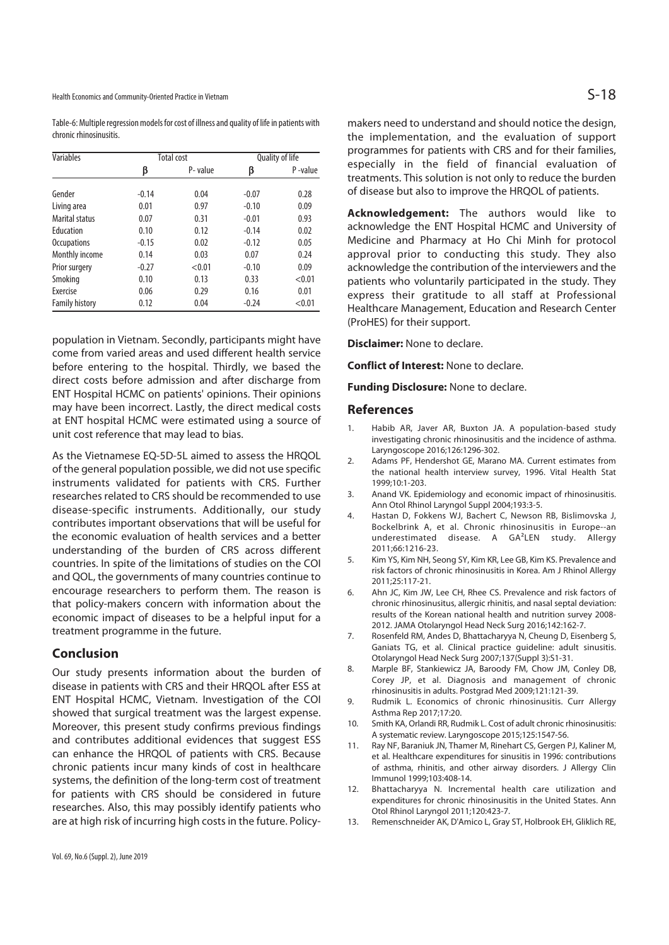Health Economics and Community-Oriented Practice in Vietnam  $S-18$ 

Table-6: Multiple regression models for cost of illness and quality of life in patients with chronic rhinosinusitis.

| Variables             |         | <b>Total cost</b> | Quality of life |         |  |
|-----------------------|---------|-------------------|-----------------|---------|--|
|                       | β       | P-value           | β               | P-value |  |
|                       |         |                   |                 |         |  |
| Gender                | $-0.14$ | 0.04              | $-0.07$         | 0.28    |  |
| Living area           | 0.01    | 0.97              | $-0.10$         | 0.09    |  |
| Marital status        | 0.07    | 0.31              | $-0.01$         | 0.93    |  |
| Education             | 0.10    | 0.12              | $-0.14$         | 0.02    |  |
| <b>Occupations</b>    | $-0.15$ | 0.02              | $-0.12$         | 0.05    |  |
| Monthly income        | 0.14    | 0.03              | 0.07            | 0.24    |  |
| Prior surgery         | $-0.27$ | < 0.01            | $-0.10$         | 0.09    |  |
| Smoking               | 0.10    | 0.13              | 0.33            | < 0.01  |  |
| Exercise              | 0.06    | 0.29              | 0.16            | 0.01    |  |
| <b>Family history</b> | 0.12    | 0.04              | $-0.24$         | < 0.01  |  |

population in Vietnam. Secondly, participants might have come from varied areas and used different health service before entering to the hospital. Thirdly, we based the direct costs before admission and after discharge from ENT Hospital HCMC on patients' opinions. Their opinions may have been incorrect. Lastly, the direct medical costs at ENT hospital HCMC were estimated using a source of unit cost reference that may lead to bias.

As the Vietnamese EQ-5D-5L aimed to assess the HRQOL of the general population possible, we did not use specific instruments validated for patients with CRS. Further researches related to CRS should be recommended to use disease-specific instruments. Additionally, our study contributes important observations that will be useful for the economic evaluation of health services and a better understanding of the burden of CRS across different countries. In spite of the limitations of studies on the COI and QOL, the governments of many countries continue to encourage researchers to perform them. The reason is that policy-makers concern with information about the economic impact of diseases to be a helpful input for a treatment programme in the future.

#### **Conclusion**

Our study presents information about the burden of disease in patients with CRS and their HRQOL after ESS at ENT Hospital HCMC, Vietnam. Investigation of the COI showed that surgical treatment was the largest expense. Moreover, this present study confirms previous findings and contributes additional evidences that suggest ESS can enhance the HRQOL of patients with CRS. Because chronic patients incur many kinds of cost in healthcare systems, the definition of the long-term cost of treatment for patients with CRS should be considered in future researches. Also, this may possibly identify patients who are at high risk of incurring high costs in the future. Policymakers need to understand and should notice the design, the implementation, and the evaluation of support programmes for patients with CRS and for their families, especially in the field of financial evaluation of treatments. This solution is not only to reduce the burden of disease but also to improve the HRQOL of patients.

**Acknowledgement:** The authors would like to acknowledge the ENT Hospital HCMC and University of Medicine and Pharmacy at Ho Chi Minh for protocol approval prior to conducting this study. They also acknowledge the contribution of the interviewers and the patients who voluntarily participated in the study. They express their gratitude to all staff at Professional Healthcare Management, Education and Research Center (ProHES) for their support.

**Disclaimer:** None to declare.

**Conflict of Interest:** None to declare.

**Funding Disclosure:** None to declare.

### **References**

- Habib AR, Javer AR, Buxton JA. A population-based study investigating chronic rhinosinusitis and the incidence of asthma. Laryngoscope 2016;126:1296-302.
- 2. Adams PF, Hendershot GE, Marano MA. Current estimates from the national health interview survey, 1996. Vital Health Stat 1999;10:1-203.
- 3. Anand VK. Epidemiology and economic impact of rhinosinusitis. Ann Otol Rhinol Laryngol Suppl 2004;193:3-5.
- 4. Hastan D, Fokkens WJ, Bachert C, Newson RB, Bislimovska J, Bockelbrink A, et al. Chronic rhinosinusitis in Europe--an underestimated disease. A GA²LEN study. Allergy 2011;66:1216-23.
- 5. Kim YS, Kim NH, Seong SY, Kim KR, Lee GB, Kim KS. Prevalence and risk factors of chronic rhinosinusitis in Korea. Am J Rhinol Allergy 2011;25:117-21.
- 6. Ahn JC, Kim JW, Lee CH, Rhee CS. Prevalence and risk factors of chronic rhinosinusitus, allergic rhinitis, and nasal septal deviation: results of the Korean national health and nutrition survey 2008- 2012. JAMA Otolaryngol Head Neck Surg 2016;142:162-7.
- 7. Rosenfeld RM, Andes D, Bhattacharyya N, Cheung D, Eisenberg S, Ganiats TG, et al. Clinical practice guideline: adult sinusitis. Otolaryngol Head Neck Surg 2007;137(Suppl 3):S1-31.
- 8. Marple BF, Stankiewicz JA, Baroody FM, Chow JM, Conley DB, Corey JP, et al. Diagnosis and management of chronic rhinosinusitis in adults. Postgrad Med 2009;121:121-39.
- 9. Rudmik L. Economics of chronic rhinosinusitis. Curr Allergy Asthma Rep 2017;17:20.
- 10. Smith KA, Orlandi RR, Rudmik L. Cost of adult chronic rhinosinusitis: A systematic review. Laryngoscope 2015;125:1547-56.
- 11. Ray NF, Baraniuk JN, Thamer M, Rinehart CS, Gergen PJ, Kaliner M, et al. Healthcare expenditures for sinusitis in 1996: contributions of asthma, rhinitis, and other airway disorders. J Allergy Clin Immunol 1999;103:408-14.
- 12. Bhattacharyya N. Incremental health care utilization and expenditures for chronic rhinosinusitis in the United States. Ann Otol Rhinol Laryngol 2011;120:423-7.
- 13. Remenschneider AK, D'Amico L, Gray ST, Holbrook EH, Gliklich RE,